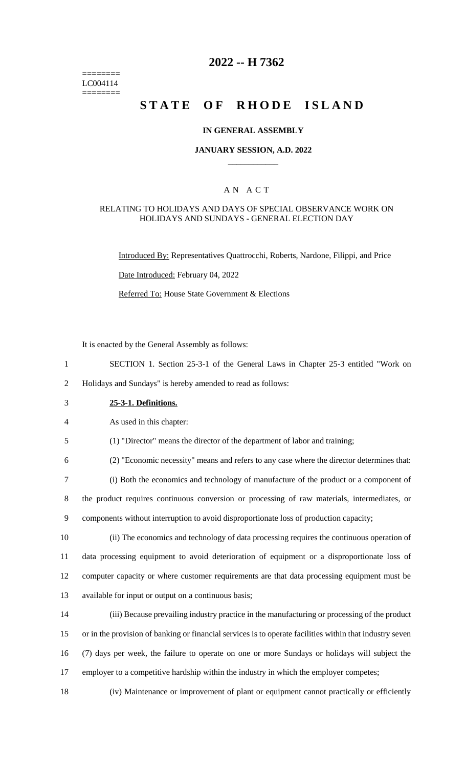======== LC004114 ========

# **2022 -- H 7362**

# **STATE OF RHODE ISLAND**

### **IN GENERAL ASSEMBLY**

### **JANUARY SESSION, A.D. 2022 \_\_\_\_\_\_\_\_\_\_\_\_**

### A N A C T

### RELATING TO HOLIDAYS AND DAYS OF SPECIAL OBSERVANCE WORK ON HOLIDAYS AND SUNDAYS - GENERAL ELECTION DAY

Introduced By: Representatives Quattrocchi, Roberts, Nardone, Filippi, and Price

Date Introduced: February 04, 2022

Referred To: House State Government & Elections

It is enacted by the General Assembly as follows:

1 SECTION 1. Section 25-3-1 of the General Laws in Chapter 25-3 entitled "Work on

2 Holidays and Sundays" is hereby amended to read as follows:

3 **25-3-1. Definitions.**

4 As used in this chapter:

5 (1) "Director" means the director of the department of labor and training;

6 (2) "Economic necessity" means and refers to any case where the director determines that:

7 (i) Both the economics and technology of manufacture of the product or a component of

8 the product requires continuous conversion or processing of raw materials, intermediates, or 9 components without interruption to avoid disproportionate loss of production capacity;

 (ii) The economics and technology of data processing requires the continuous operation of data processing equipment to avoid deterioration of equipment or a disproportionate loss of computer capacity or where customer requirements are that data processing equipment must be available for input or output on a continuous basis;

 (iii) Because prevailing industry practice in the manufacturing or processing of the product or in the provision of banking or financial services is to operate facilities within that industry seven (7) days per week, the failure to operate on one or more Sundays or holidays will subject the 17 employer to a competitive hardship within the industry in which the employer competes;

18 (iv) Maintenance or improvement of plant or equipment cannot practically or efficiently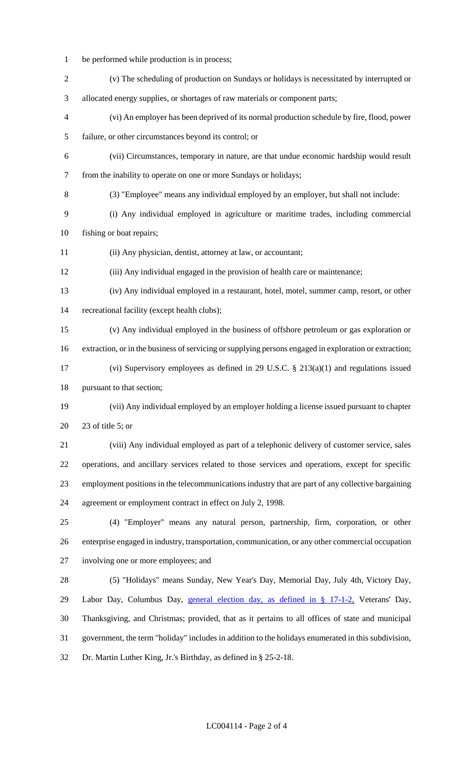- be performed while production is in process; (v) The scheduling of production on Sundays or holidays is necessitated by interrupted or allocated energy supplies, or shortages of raw materials or component parts; (vi) An employer has been deprived of its normal production schedule by fire, flood, power failure, or other circumstances beyond its control; or (vii) Circumstances, temporary in nature, are that undue economic hardship would result from the inability to operate on one or more Sundays or holidays; (3) "Employee" means any individual employed by an employer, but shall not include: (i) Any individual employed in agriculture or maritime trades, including commercial fishing or boat repairs; (ii) Any physician, dentist, attorney at law, or accountant; (iii) Any individual engaged in the provision of health care or maintenance; (iv) Any individual employed in a restaurant, hotel, motel, summer camp, resort, or other recreational facility (except health clubs); (v) Any individual employed in the business of offshore petroleum or gas exploration or extraction, or in the business of servicing or supplying persons engaged in exploration or extraction; (vi) Supervisory employees as defined in 29 U.S.C. § 213(a)(1) and regulations issued pursuant to that section; (vii) Any individual employed by an employer holding a license issued pursuant to chapter 23 of title 5; or (viii) Any individual employed as part of a telephonic delivery of customer service, sales operations, and ancillary services related to those services and operations, except for specific employment positions in the telecommunications industry that are part of any collective bargaining agreement or employment contract in effect on July 2, 1998. (4) "Employer" means any natural person, partnership, firm, corporation, or other enterprise engaged in industry, transportation, communication, or any other commercial occupation involving one or more employees; and (5) "Holidays" means Sunday, New Year's Day, Memorial Day, July 4th, Victory Day, Labor Day, Columbus Day, general election day, as defined in § 17-1-2, Veterans' Day, Thanksgiving, and Christmas; provided, that as it pertains to all offices of state and municipal government, the term "holiday" includes in addition to the holidays enumerated in this subdivision, Dr. Martin Luther King, Jr.'s Birthday, as defined in § 25-2-18.
	- LC004114 Page 2 of 4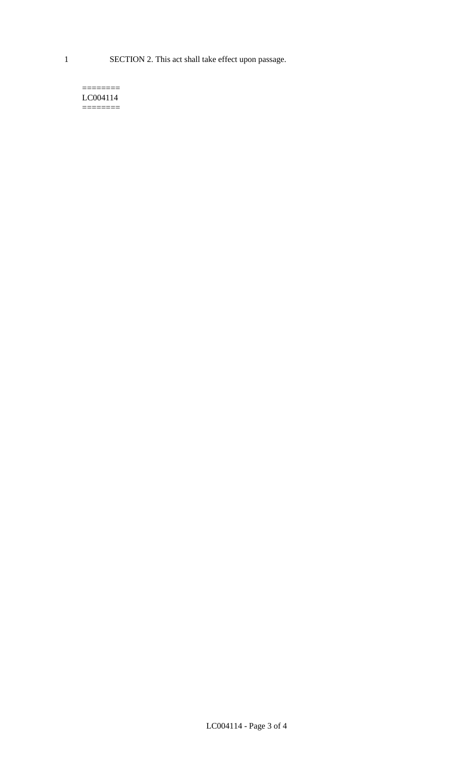1 SECTION 2. This act shall take effect upon passage.

#### $=$ LC004114  $=$